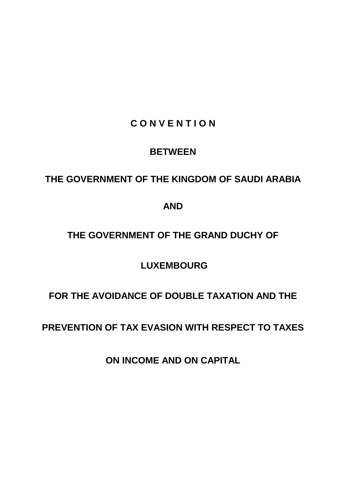# **C O N V E N T I O N**

# **BETWEEN**

# **THE GOVERNMENT OF THE KINGDOM OF SAUDI ARABIA**

**AND** 

# **THE GOVERNMENT OF THE GRAND DUCHY OF**

**LUXEMBOURG** 

# **FOR THE AVOIDANCE OF DOUBLE TAXATION AND THE**

**PREVENTION OF TAX EVASION WITH RESPECT TO TAXES** 

**ON INCOME AND ON CAPITAL**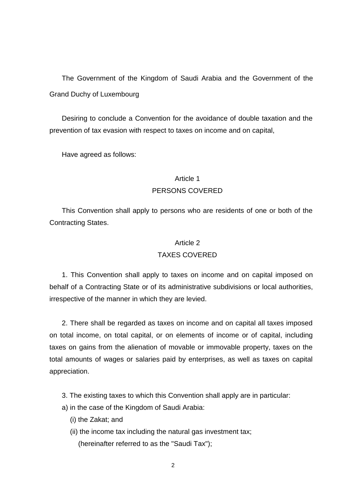The Government of the Kingdom of Saudi Arabia and the Government of the Grand Duchy of Luxembourg

Desiring to conclude a Convention for the avoidance of double taxation and the prevention of tax evasion with respect to taxes on income and on capital,

Have agreed as follows:

# Article 1

# PERSONS COVERED

This Convention shall apply to persons who are residents of one or both of the Contracting States.

# Article 2

# TAXES COVERED

1. This Convention shall apply to taxes on income and on capital imposed on behalf of a Contracting State or of its administrative subdivisions or local authorities, irrespective of the manner in which they are levied.

2. There shall be regarded as taxes on income and on capital all taxes imposed on total income, on total capital, or on elements of income or of capital, including taxes on gains from the alienation of movable or immovable property, taxes on the total amounts of wages or salaries paid by enterprises, as well as taxes on capital appreciation.

3. The existing taxes to which this Convention shall apply are in particular:

a) in the case of the Kingdom of Saudi Arabia:

- (i) the Zakat; and
- (ii) the income tax including the natural gas investment tax;

(hereinafter referred to as the "Saudi Tax");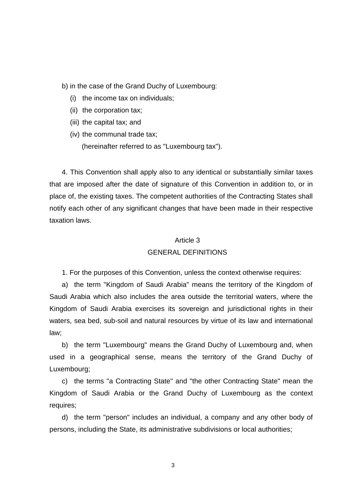b) in the case of the Grand Duchy of Luxembourg:

- (i) the income tax on individuals;
- (ii) the corporation tax;
- (iii) the capital tax; and
- (iv) the communal trade tax; (hereinafter referred to as "Luxembourg tax").

4. This Convention shall apply also to any identical or substantially similar taxes that are imposed after the date of signature of this Convention in addition to, or in place of, the existing taxes. The competent authorities of the Contracting States shall notify each other of any significant changes that have been made in their respective taxation laws.

# Article 3

# GENERAL DEFINITIONS

1. For the purposes of this Convention, unless the context otherwise requires:

a) the term "Kingdom of Saudi Arabia" means the territory of the Kingdom of Saudi Arabia which also includes the area outside the territorial waters, where the Kingdom of Saudi Arabia exercises its sovereign and jurisdictional rights in their waters, sea bed, sub-soil and natural resources by virtue of its law and international law;

b) the term "Luxembourg" means the Grand Duchy of Luxembourg and, when used in a geographical sense, means the territory of the Grand Duchy of Luxembourg;

c) the terms "a Contracting State" and "the other Contracting State" mean the Kingdom of Saudi Arabia or the Grand Duchy of Luxembourg as the context requires;

d) the term "person" includes an individual, a company and any other body of persons, including the State, its administrative subdivisions or local authorities;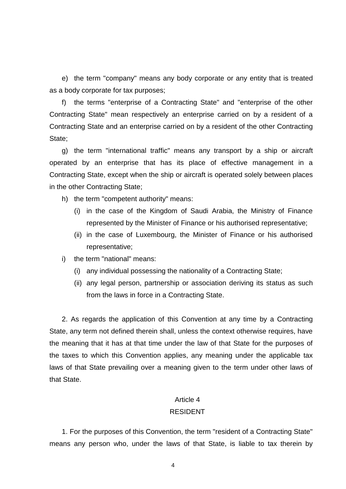e) the term "company" means any body corporate or any entity that is treated as a body corporate for tax purposes;

f) the terms "enterprise of a Contracting State" and "enterprise of the other Contracting State" mean respectively an enterprise carried on by a resident of a Contracting State and an enterprise carried on by a resident of the other Contracting State;

g) the term "international traffic" means any transport by a ship or aircraft operated by an enterprise that has its place of effective management in a Contracting State, except when the ship or aircraft is operated solely between places in the other Contracting State;

- h) the term "competent authority" means:
	- (i) in the case of the Kingdom of Saudi Arabia, the Ministry of Finance represented by the Minister of Finance or his authorised representative;
	- (ii) in the case of Luxembourg, the Minister of Finance or his authorised representative;
- i) the term "national" means:
	- (i) any individual possessing the nationality of a Contracting State;
	- (ii) any legal person, partnership or association deriving its status as such from the laws in force in a Contracting State.

2. As regards the application of this Convention at any time by a Contracting State, any term not defined therein shall, unless the context otherwise requires, have the meaning that it has at that time under the law of that State for the purposes of the taxes to which this Convention applies, any meaning under the applicable tax laws of that State prevailing over a meaning given to the term under other laws of that State.

#### Article 4

#### RESIDENT

1. For the purposes of this Convention, the term "resident of a Contracting State" means any person who, under the laws of that State, is liable to tax therein by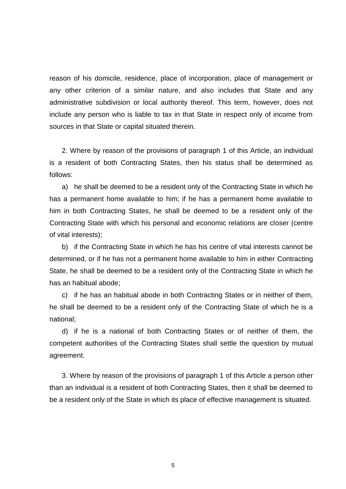reason of his domicile, residence, place of incorporation, place of management or any other criterion of a similar nature, and also includes that State and any administrative subdivision or local authority thereof. This term, however, does not include any person who is liable to tax in that State in respect only of income from sources in that State or capital situated therein.

2. Where by reason of the provisions of paragraph 1 of this Article, an individual is a resident of both Contracting States, then his status shall be determined as follows:

a) he shall be deemed to be a resident only of the Contracting State in which he has a permanent home available to him; if he has a permanent home available to him in both Contracting States, he shall be deemed to be a resident only of the Contracting State with which his personal and economic relations are closer (centre of vital interests);

b) if the Contracting State in which he has his centre of vital interests cannot be determined, or if he has not a permanent home available to him in either Contracting State, he shall be deemed to be a resident only of the Contracting State in which he has an habitual abode;

c) if he has an habitual abode in both Contracting States or in neither of them, he shall be deemed to be a resident only of the Contracting State of which he is a national;

d) if he is a national of both Contracting States or of neither of them, the competent authorities of the Contracting States shall settle the question by mutual agreement.

3. Where by reason of the provisions of paragraph 1 of this Article a person other than an individual is a resident of both Contracting States, then it shall be deemed to be a resident only of the State in which its place of effective management is situated.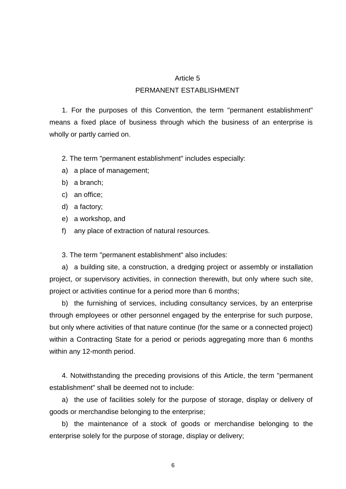#### Article 5

# PERMANENT ESTABLISHMENT

1. For the purposes of this Convention, the term "permanent establishment" means a fixed place of business through which the business of an enterprise is wholly or partly carried on.

2. The term "permanent establishment" includes especially:

- a) a place of management;
- b) a branch;
- c) an office;
- d) a factory;
- e) a workshop, and
- f) any place of extraction of natural resources.

3. The term "permanent establishment" also includes:

a) a building site, a construction, a dredging project or assembly or installation project, or supervisory activities, in connection therewith, but only where such site, project or activities continue for a period more than 6 months;

b) the furnishing of services, including consultancy services, by an enterprise through employees or other personnel engaged by the enterprise for such purpose, but only where activities of that nature continue (for the same or a connected project) within a Contracting State for a period or periods aggregating more than 6 months within any 12-month period.

4. Notwithstanding the preceding provisions of this Article, the term "permanent establishment" shall be deemed not to include:

a) the use of facilities solely for the purpose of storage, display or delivery of goods or merchandise belonging to the enterprise;

b) the maintenance of a stock of goods or merchandise belonging to the enterprise solely for the purpose of storage, display or delivery;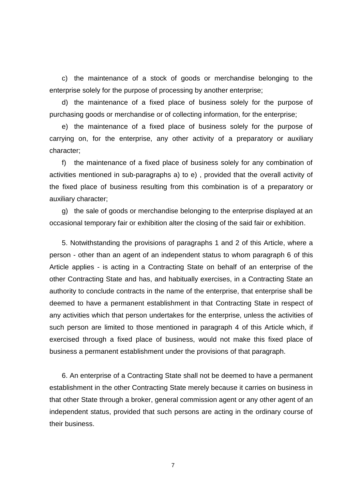c) the maintenance of a stock of goods or merchandise belonging to the enterprise solely for the purpose of processing by another enterprise;

d) the maintenance of a fixed place of business solely for the purpose of purchasing goods or merchandise or of collecting information, for the enterprise;

e) the maintenance of a fixed place of business solely for the purpose of carrying on, for the enterprise, any other activity of a preparatory or auxiliary character;

f) the maintenance of a fixed place of business solely for any combination of activities mentioned in sub-paragraphs a) to e) , provided that the overall activity of the fixed place of business resulting from this combination is of a preparatory or auxiliary character;

g) the sale of goods or merchandise belonging to the enterprise displayed at an occasional temporary fair or exhibition alter the closing of the said fair or exhibition.

5. Notwithstanding the provisions of paragraphs 1 and 2 of this Article, where a person - other than an agent of an independent status to whom paragraph 6 of this Article applies - is acting in a Contracting State on behalf of an enterprise of the other Contracting State and has, and habitually exercises, in a Contracting State an authority to conclude contracts in the name of the enterprise, that enterprise shall be deemed to have a permanent establishment in that Contracting State in respect of any activities which that person undertakes for the enterprise, unless the activities of such person are limited to those mentioned in paragraph 4 of this Article which, if exercised through a fixed place of business, would not make this fixed place of business a permanent establishment under the provisions of that paragraph.

6. An enterprise of a Contracting State shall not be deemed to have a permanent establishment in the other Contracting State merely because it carries on business in that other State through a broker, general commission agent or any other agent of an independent status, provided that such persons are acting in the ordinary course of their business.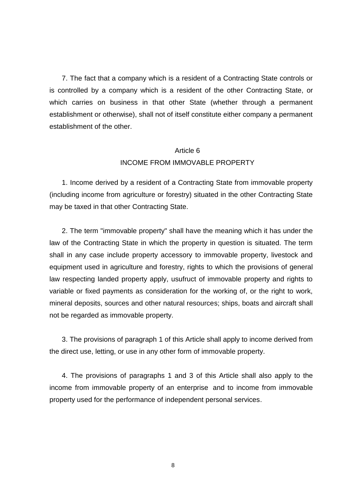7. The fact that a company which is a resident of a Contracting State controls or is controlled by a company which is a resident of the other Contracting State, or which carries on business in that other State (whether through a permanent establishment or otherwise), shall not of itself constitute either company a permanent establishment of the other.

# Article 6 INCOME FROM IMMOVABLE PROPERTY

1. Income derived by a resident of a Contracting State from immovable property (including income from agriculture or forestry) situated in the other Contracting State may be taxed in that other Contracting State.

2. The term "immovable property" shall have the meaning which it has under the law of the Contracting State in which the property in question is situated. The term shall in any case include property accessory to immovable property, livestock and equipment used in agriculture and forestry, rights to which the provisions of general law respecting landed property apply, usufruct of immovable property and rights to variable or fixed payments as consideration for the working of, or the right to work, mineral deposits, sources and other natural resources; ships, boats and aircraft shall not be regarded as immovable property.

3. The provisions of paragraph 1 of this Article shall apply to income derived from the direct use, letting, or use in any other form of immovable property.

4. The provisions of paragraphs 1 and 3 of this Article shall also apply to the income from immovable property of an enterprise and to income from immovable property used for the performance of independent personal services.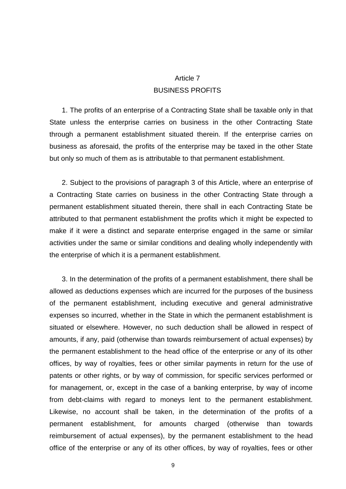# Article 7 BUSINESS PROFITS

1. The profits of an enterprise of a Contracting State shall be taxable only in that State unless the enterprise carries on business in the other Contracting State through a permanent establishment situated therein. If the enterprise carries on business as aforesaid, the profits of the enterprise may be taxed in the other State but only so much of them as is attributable to that permanent establishment.

2. Subject to the provisions of paragraph 3 of this Article, where an enterprise of a Contracting State carries on business in the other Contracting State through a permanent establishment situated therein, there shall in each Contracting State be attributed to that permanent establishment the profits which it might be expected to make if it were a distinct and separate enterprise engaged in the same or similar activities under the same or similar conditions and dealing wholly independently with the enterprise of which it is a permanent establishment.

3. In the determination of the profits of a permanent establishment, there shall be allowed as deductions expenses which are incurred for the purposes of the business of the permanent establishment, including executive and general administrative expenses so incurred, whether in the State in which the permanent establishment is situated or elsewhere. However, no such deduction shall be allowed in respect of amounts, if any, paid (otherwise than towards reimbursement of actual expenses) by the permanent establishment to the head office of the enterprise or any of its other offices, by way of royalties, fees or other similar payments in return for the use of patents or other rights, or by way of commission, for specific services performed or for management, or, except in the case of a banking enterprise, by way of income from debt-claims with regard to moneys lent to the permanent establishment. Likewise, no account shall be taken, in the determination of the profits of a permanent establishment, for amounts charged (otherwise than towards reimbursement of actual expenses), by the permanent establishment to the head office of the enterprise or any of its other offices, by way of royalties, fees or other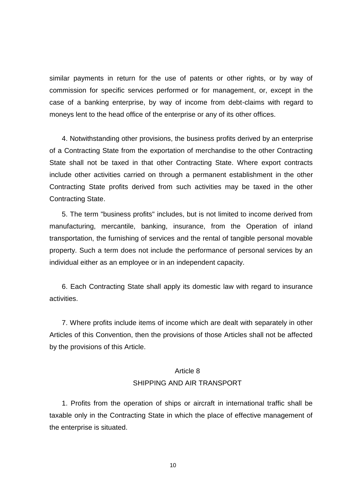similar payments in return for the use of patents or other rights, or by way of commission for specific services performed or for management, or, except in the case of a banking enterprise, by way of income from debt-claims with regard to moneys lent to the head office of the enterprise or any of its other offices.

4. Notwithstanding other provisions, the business profits derived by an enterprise of a Contracting State from the exportation of merchandise to the other Contracting State shall not be taxed in that other Contracting State. Where export contracts include other activities carried on through a permanent establishment in the other Contracting State profits derived from such activities may be taxed in the other Contracting State.

5. The term "business profits" includes, but is not limited to income derived from manufacturing, mercantile, banking, insurance, from the Operation of inland transportation, the furnishing of services and the rental of tangible personal movable property. Such a term does not include the performance of personal services by an individual either as an employee or in an independent capacity.

6. Each Contracting State shall apply its domestic law with regard to insurance activities.

7. Where profits include items of income which are dealt with separately in other Articles of this Convention, then the provisions of those Articles shall not be affected by the provisions of this Article.

# Article 8

#### SHIPPING AND AIR TRANSPORT

1. Profits from the operation of ships or aircraft in international traffic shall be taxable only in the Contracting State in which the place of effective management of the enterprise is situated.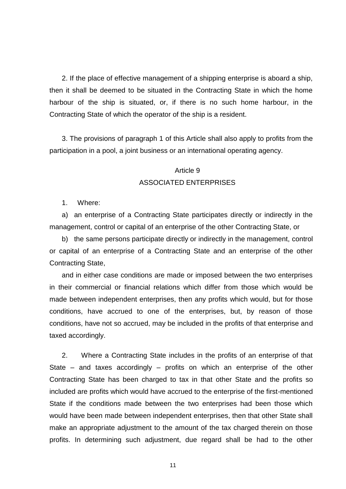2. If the place of effective management of a shipping enterprise is aboard a ship, then it shall be deemed to be situated in the Contracting State in which the home harbour of the ship is situated, or, if there is no such home harbour, in the Contracting State of which the operator of the ship is a resident.

3. The provisions of paragraph 1 of this Article shall also apply to profits from the participation in a pool, a joint business or an international operating agency.

# Article 9

# ASSOCIATED ENTERPRISES

1. Where:

a) an enterprise of a Contracting State participates directly or indirectly in the management, control or capital of an enterprise of the other Contracting State, or

b) the same persons participate directly or indirectly in the management, control or capital of an enterprise of a Contracting State and an enterprise of the other Contracting State,

and in either case conditions are made or imposed between the two enterprises in their commercial or financial relations which differ from those which would be made between independent enterprises, then any profits which would, but for those conditions, have accrued to one of the enterprises, but, by reason of those conditions, have not so accrued, may be included in the profits of that enterprise and taxed accordingly.

2. Where a Contracting State includes in the profits of an enterprise of that State – and taxes accordingly – profits on which an enterprise of the other Contracting State has been charged to tax in that other State and the profits so included are profits which would have accrued to the enterprise of the first-mentioned State if the conditions made between the two enterprises had been those which would have been made between independent enterprises, then that other State shall make an appropriate adjustment to the amount of the tax charged therein on those profits. In determining such adjustment, due regard shall be had to the other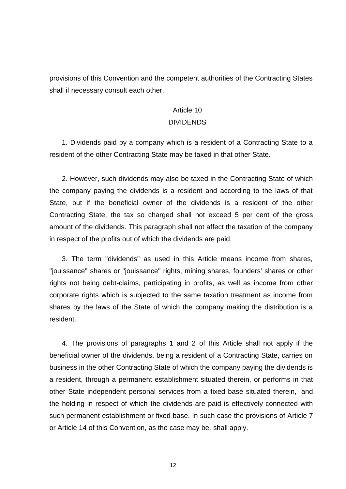provisions of this Convention and the competent authorities of the Contracting States shall if necessary consult each other.

# Article 10

# DIVIDENDS

1. Dividends paid by a company which is a resident of a Contracting State to a resident of the other Contracting State may be taxed in that other State.

2. However, such dividends may also be taxed in the Contracting State of which the company paying the dividends is a resident and according to the laws of that State, but if the beneficial owner of the dividends is a resident of the other Contracting State, the tax so charged shall not exceed 5 per cent of the gross amount of the dividends. This paragraph shall not affect the taxation of the company in respect of the profits out of which the dividends are paid.

3. The term "dividends" as used in this Article means income from shares, "jouissance" shares or "jouissance" rights, mining shares, founders' shares or other rights not being debt-claims, participating in profits, as well as income from other corporate rights which is subjected to the same taxation treatment as income from shares by the laws of the State of which the company making the distribution is a resident.

4. The provisions of paragraphs 1 and 2 of this Article shall not apply if the beneficial owner of the dividends, being a resident of a Contracting State, carries on business in the other Contracting State of which the company paying the dividends is a resident, through a permanent establishment situated therein, or performs in that other State independent personal services from a fixed base situated therein, and the holding in respect of which the dividends are paid is effectively connected with such permanent establishment or fixed base. In such case the provisions of Article 7 or Article 14 of this Convention, as the case may be, shall apply.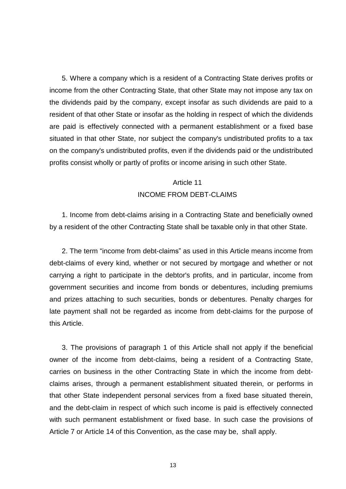5. Where a company which is a resident of a Contracting State derives profits or income from the other Contracting State, that other State may not impose any tax on the dividends paid by the company, except insofar as such dividends are paid to a resident of that other State or insofar as the holding in respect of which the dividends are paid is effectively connected with a permanent establishment or a fixed base situated in that other State, nor subject the company's undistributed profits to a tax on the company's undistributed profits, even if the dividends paid or the undistributed profits consist wholly or partly of profits or income arising in such other State.

# Article 11 INCOME FROM DEBT-CLAIMS

1. Income from debt-claims arising in a Contracting State and beneficially owned by a resident of the other Contracting State shall be taxable only in that other State.

2. The term "income from debt-claims" as used in this Article means income from debt-claims of every kind, whether or not secured by mortgage and whether or not carrying a right to participate in the debtor's profits, and in particular, income from government securities and income from bonds or debentures, including premiums and prizes attaching to such securities, bonds or debentures. Penalty charges for late payment shall not be regarded as income from debt-claims for the purpose of this Article.

3. The provisions of paragraph 1 of this Article shall not apply if the beneficial owner of the income from debt-claims, being a resident of a Contracting State, carries on business in the other Contracting State in which the income from debtclaims arises, through a permanent establishment situated therein, or performs in that other State independent personal services from a fixed base situated therein, and the debt-claim in respect of which such income is paid is effectively connected with such permanent establishment or fixed base. In such case the provisions of Article 7 or Article 14 of this Convention, as the case may be, shall apply.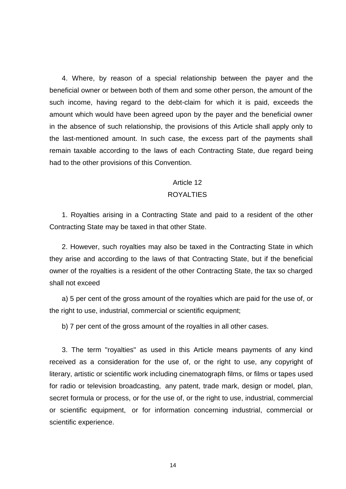4. Where, by reason of a special relationship between the payer and the beneficial owner or between both of them and some other person, the amount of the such income, having regard to the debt-claim for which it is paid, exceeds the amount which would have been agreed upon by the payer and the beneficial owner in the absence of such relationship, the provisions of this Article shall apply only to the last-mentioned amount. In such case, the excess part of the payments shall remain taxable according to the laws of each Contracting State, due regard being had to the other provisions of this Convention.

# Article 12

# ROYALTIES

1. Royalties arising in a Contracting State and paid to a resident of the other Contracting State may be taxed in that other State.

2. However, such royalties may also be taxed in the Contracting State in which they arise and according to the laws of that Contracting State, but if the beneficial owner of the royalties is a resident of the other Contracting State, the tax so charged shall not exceed

a) 5 per cent of the gross amount of the royalties which are paid for the use of, or the right to use, industrial, commercial or scientific equipment;

b) 7 per cent of the gross amount of the royalties in all other cases.

3. The term "royalties" as used in this Article means payments of any kind received as a consideration for the use of, or the right to use, any copyright of literary, artistic or scientific work including cinematograph films, or films or tapes used for radio or television broadcasting, any patent, trade mark, design or model, plan, secret formula or process, or for the use of, or the right to use, industrial, commercial or scientific equipment, or for information concerning industrial, commercial or scientific experience.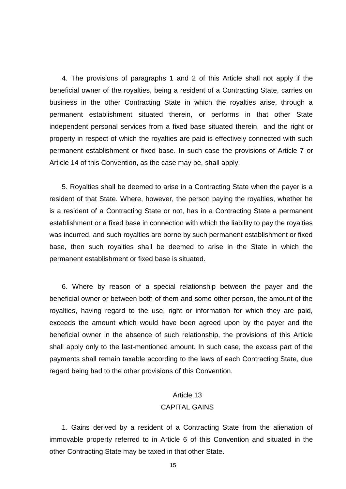4. The provisions of paragraphs 1 and 2 of this Article shall not apply if the beneficial owner of the royalties, being a resident of a Contracting State, carries on business in the other Contracting State in which the royalties arise, through a permanent establishment situated therein, or performs in that other State independent personal services from a fixed base situated therein, and the right or property in respect of which the royalties are paid is effectively connected with such permanent establishment or fixed base. In such case the provisions of Article 7 or Article 14 of this Convention, as the case may be, shall apply.

5. Royalties shall be deemed to arise in a Contracting State when the payer is a resident of that State. Where, however, the person paying the royalties, whether he is a resident of a Contracting State or not, has in a Contracting State a permanent establishment or a fixed base in connection with which the liability to pay the royalties was incurred, and such royalties are borne by such permanent establishment or fixed base, then such royalties shall be deemed to arise in the State in which the permanent establishment or fixed base is situated.

6. Where by reason of a special relationship between the payer and the beneficial owner or between both of them and some other person, the amount of the royalties, having regard to the use, right or information for which they are paid, exceeds the amount which would have been agreed upon by the payer and the beneficial owner in the absence of such relationship, the provisions of this Article shall apply only to the last-mentioned amount. In such case, the excess part of the payments shall remain taxable according to the laws of each Contracting State, due regard being had to the other provisions of this Convention.

# Article 13

## CAPITAL GAINS

1. Gains derived by a resident of a Contracting State from the alienation of immovable property referred to in Article 6 of this Convention and situated in the other Contracting State may be taxed in that other State.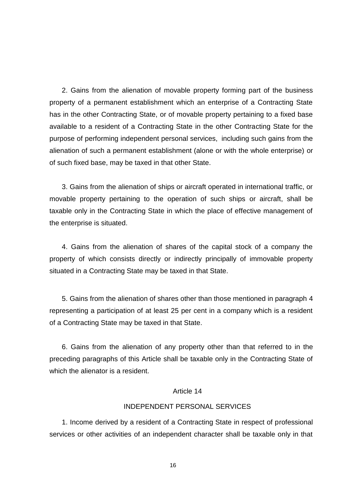2. Gains from the alienation of movable property forming part of the business property of a permanent establishment which an enterprise of a Contracting State has in the other Contracting State, or of movable property pertaining to a fixed base available to a resident of a Contracting State in the other Contracting State for the purpose of performing independent personal services, including such gains from the alienation of such a permanent establishment (alone or with the whole enterprise) or of such fixed base, may be taxed in that other State.

3. Gains from the alienation of ships or aircraft operated in international traffic, or movable property pertaining to the operation of such ships or aircraft, shall be taxable only in the Contracting State in which the place of effective management of the enterprise is situated.

4. Gains from the alienation of shares of the capital stock of a company the property of which consists directly or indirectly principally of immovable property situated in a Contracting State may be taxed in that State.

5. Gains from the alienation of shares other than those mentioned in paragraph 4 representing a participation of at least 25 per cent in a company which is a resident of a Contracting State may be taxed in that State.

6. Gains from the alienation of any property other than that referred to in the preceding paragraphs of this Article shall be taxable only in the Contracting State of which the alienator is a resident.

# Article 14

#### INDEPENDENT PERSONAL SERVICES

1. Income derived by a resident of a Contracting State in respect of professional services or other activities of an independent character shall be taxable only in that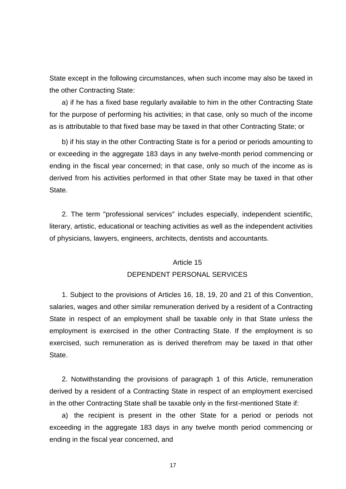State except in the following circumstances, when such income may also be taxed in the other Contracting State:

a) if he has a fixed base regularly available to him in the other Contracting State for the purpose of performing his activities; in that case, only so much of the income as is attributable to that fixed base may be taxed in that other Contracting State; or

b) if his stay in the other Contracting State is for a period or periods amounting to or exceeding in the aggregate 183 days in any twelve-month period commencing or ending in the fiscal year concerned; in that case, only so much of the income as is derived from his activities performed in that other State may be taxed in that other State.

2. The term "professional services" includes especially, independent scientific, literary, artistic, educational or teaching activities as well as the independent activities of physicians, lawyers, engineers, architects, dentists and accountants.

# Article 15 DEPENDENT PERSONAL SERVICES

1. Subject to the provisions of Articles 16, 18, 19, 20 and 21 of this Convention, salaries, wages and other similar remuneration derived by a resident of a Contracting State in respect of an employment shall be taxable only in that State unless the employment is exercised in the other Contracting State. If the employment is so exercised, such remuneration as is derived therefrom may be taxed in that other State.

2. Notwithstanding the provisions of paragraph 1 of this Article, remuneration derived by a resident of a Contracting State in respect of an employment exercised in the other Contracting State shall be taxable only in the first-mentioned State if:

a) the recipient is present in the other State for a period or periods not exceeding in the aggregate 183 days in any twelve month period commencing or ending in the fiscal year concerned, and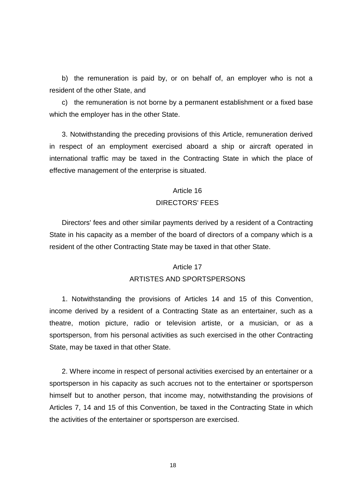b) the remuneration is paid by, or on behalf of, an employer who is not a resident of the other State, and

c) the remuneration is not borne by a permanent establishment or a fixed base which the employer has in the other State.

3. Notwithstanding the preceding provisions of this Article, remuneration derived in respect of an employment exercised aboard a ship or aircraft operated in international traffic may be taxed in the Contracting State in which the place of effective management of the enterprise is situated.

# Article 16 DIRECTORS' FEES

Directors' fees and other similar payments derived by a resident of a Contracting State in his capacity as a member of the board of directors of a company which is a resident of the other Contracting State may be taxed in that other State.

# Article 17 ARTISTES AND SPORTSPERSONS

1. Notwithstanding the provisions of Articles 14 and 15 of this Convention, income derived by a resident of a Contracting State as an entertainer, such as a theatre, motion picture, radio or television artiste, or a musician, or as a sportsperson, from his personal activities as such exercised in the other Contracting State, may be taxed in that other State.

2. Where income in respect of personal activities exercised by an entertainer or a sportsperson in his capacity as such accrues not to the entertainer or sportsperson himself but to another person, that income may, notwithstanding the provisions of Articles 7, 14 and 15 of this Convention, be taxed in the Contracting State in which the activities of the entertainer or sportsperson are exercised.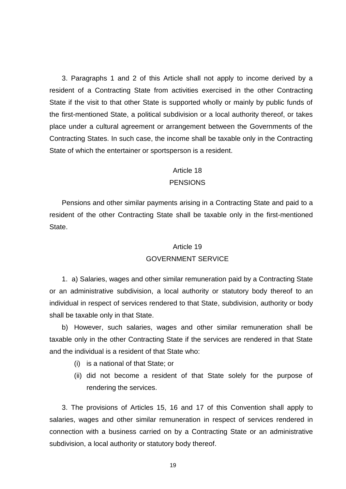3. Paragraphs 1 and 2 of this Article shall not apply to income derived by a resident of a Contracting State from activities exercised in the other Contracting State if the visit to that other State is supported wholly or mainly by public funds of the first-mentioned State, a political subdivision or a local authority thereof, or takes place under a cultural agreement or arrangement between the Governments of the Contracting States. In such case, the income shall be taxable only in the Contracting State of which the entertainer or sportsperson is a resident.

## Article 18

# **PENSIONS**

Pensions and other similar payments arising in a Contracting State and paid to a resident of the other Contracting State shall be taxable only in the first-mentioned State.

# Article 19

# GOVERNMENT SERVICE

1. a) Salaries, wages and other similar remuneration paid by a Contracting State or an administrative subdivision, a local authority or statutory body thereof to an individual in respect of services rendered to that State, subdivision, authority or body shall be taxable only in that State.

b) However, such salaries, wages and other similar remuneration shall be taxable only in the other Contracting State if the services are rendered in that State and the individual is a resident of that State who:

- (i) is a national of that State; or
- (ii) did not become a resident of that State solely for the purpose of rendering the services.

3. The provisions of Articles 15, 16 and 17 of this Convention shall apply to salaries, wages and other similar remuneration in respect of services rendered in connection with a business carried on by a Contracting State or an administrative subdivision, a local authority or statutory body thereof.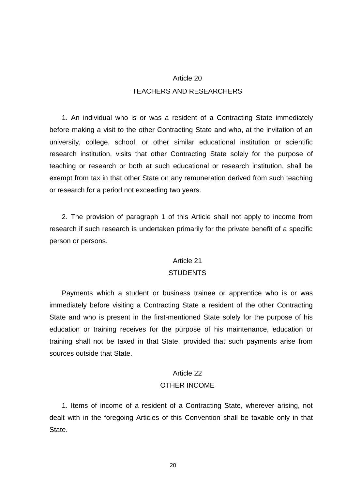# Article 20 TEACHERS AND RESEARCHERS

1. An individual who is or was a resident of a Contracting State immediately before making a visit to the other Contracting State and who, at the invitation of an university, college, school, or other similar educational institution or scientific research institution, visits that other Contracting State solely for the purpose of teaching or research or both at such educational or research institution, shall be exempt from tax in that other State on any remuneration derived from such teaching or research for a period not exceeding two years.

2. The provision of paragraph 1 of this Article shall not apply to income from research if such research is undertaken primarily for the private benefit of a specific person or persons.

# Article 21

# **STUDENTS**

Payments which a student or business trainee or apprentice who is or was immediately before visiting a Contracting State a resident of the other Contracting State and who is present in the first-mentioned State solely for the purpose of his education or training receives for the purpose of his maintenance, education or training shall not be taxed in that State, provided that such payments arise from sources outside that State.

# Article 22

# OTHER INCOME

1. Items of income of a resident of a Contracting State, wherever arising, not dealt with in the foregoing Articles of this Convention shall be taxable only in that State.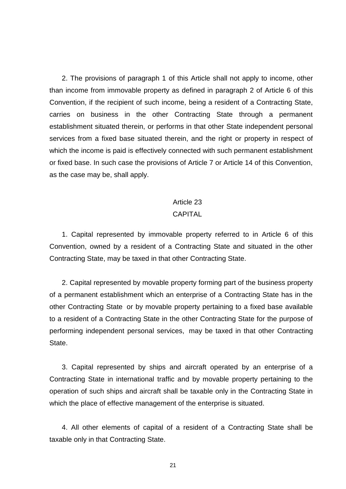2. The provisions of paragraph 1 of this Article shall not apply to income, other than income from immovable property as defined in paragraph 2 of Article 6 of this Convention, if the recipient of such income, being a resident of a Contracting State, carries on business in the other Contracting State through a permanent establishment situated therein, or performs in that other State independent personal services from a fixed base situated therein, and the right or property in respect of which the income is paid is effectively connected with such permanent establishment or fixed base. In such case the provisions of Article 7 or Article 14 of this Convention, as the case may be, shall apply.

# Article 23

# **CAPITAL**

1. Capital represented by immovable property referred to in Article 6 of this Convention, owned by a resident of a Contracting State and situated in the other Contracting State, may be taxed in that other Contracting State.

2. Capital represented by movable property forming part of the business property of a permanent establishment which an enterprise of a Contracting State has in the other Contracting State or by movable property pertaining to a fixed base available to a resident of a Contracting State in the other Contracting State for the purpose of performing independent personal services, may be taxed in that other Contracting State.

3. Capital represented by ships and aircraft operated by an enterprise of a Contracting State in international traffic and by movable property pertaining to the operation of such ships and aircraft shall be taxable only in the Contracting State in which the place of effective management of the enterprise is situated.

4. All other elements of capital of a resident of a Contracting State shall be taxable only in that Contracting State.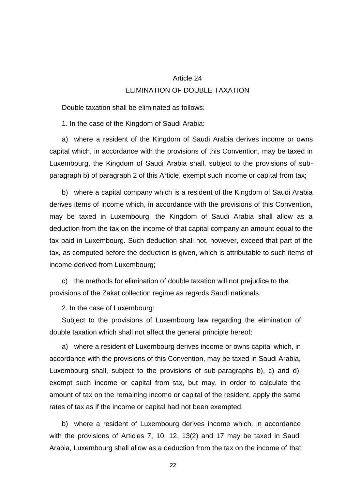# Article 24 ELIMINATION OF DOUBLE TAXATION

Double taxation shall be eliminated as follows:

1. In the case of the Kingdom of Saudi Arabia:

a) where a resident of the Kingdom of Saudi Arabia derives income or owns capital which, in accordance with the provisions of this Convention, may be taxed in Luxembourg, the Kingdom of Saudi Arabia shall, subject to the provisions of subparagraph b) of paragraph 2 of this Article, exempt such income or capital from tax;

b) where a capital company which is a resident of the Kingdom of Saudi Arabia derives items of income which, in accordance with the provisions of this Convention, may be taxed in Luxembourg, the Kingdom of Saudi Arabia shall allow as a deduction from the tax on the income of that capital company an amount equal to the tax paid in Luxembourg. Such deduction shall not, however, exceed that part of the tax, as computed before the deduction is given, which is attributable to such items of income derived from Luxembourg;

c) the methods for elimination of double taxation will not prejudice to the provisions of the Zakat collection regime as regards Saudi nationals.

2. In the case of Luxembourg:

Subject to the provisions of Luxembourg law regarding the elimination of double taxation which shall not affect the general principle hereof:

a) where a resident of Luxembourg derives income or owns capital which, in accordance with the provisions of this Convention, may be taxed in Saudi Arabia, Luxembourg shall, subject to the provisions of sub-paragraphs b), c) and d), exempt such income or capital from tax, but may, in order to calculate the amount of tax on the remaining income or capital of the resident, apply the same rates of tax as if the income or capital had not been exempted;

b) where a resident of Luxembourg derives income which, in accordance with the provisions of Articles 7, 10, 12, 13(2) and 17 may be taxed in Saudi Arabia, Luxembourg shall allow as a deduction from the tax on the income of that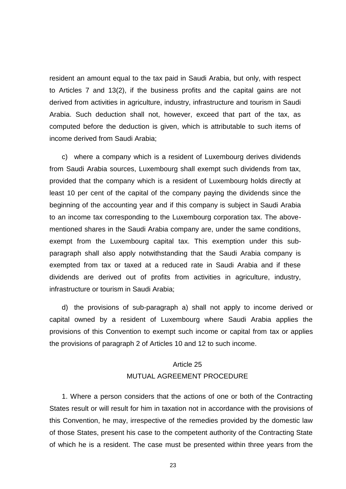resident an amount equal to the tax paid in Saudi Arabia, but only, with respect to Articles 7 and 13(2), if the business profits and the capital gains are not derived from activities in agriculture, industry, infrastructure and tourism in Saudi Arabia. Such deduction shall not, however, exceed that part of the tax, as computed before the deduction is given, which is attributable to such items of income derived from Saudi Arabia;

c) where a company which is a resident of Luxembourg derives dividends from Saudi Arabia sources, Luxembourg shall exempt such dividends from tax, provided that the company which is a resident of Luxembourg holds directly at least 10 per cent of the capital of the company paying the dividends since the beginning of the accounting year and if this company is subject in Saudi Arabia to an income tax corresponding to the Luxembourg corporation tax. The abovementioned shares in the Saudi Arabia company are, under the same conditions, exempt from the Luxembourg capital tax. This exemption under this subparagraph shall also apply notwithstanding that the Saudi Arabia company is exempted from tax or taxed at a reduced rate in Saudi Arabia and if these dividends are derived out of profits from activities in agriculture, industry, infrastructure or tourism in Saudi Arabia;

d) the provisions of sub-paragraph a) shall not apply to income derived or capital owned by a resident of Luxembourg where Saudi Arabia applies the provisions of this Convention to exempt such income or capital from tax or applies the provisions of paragraph 2 of Articles 10 and 12 to such income.

#### Article 25

#### MUTUAL AGREEMENT PROCEDURE

1. Where a person considers that the actions of one or both of the Contracting States result or will result for him in taxation not in accordance with the provisions of this Convention, he may, irrespective of the remedies provided by the domestic law of those States, present his case to the competent authority of the Contracting State of which he is a resident. The case must be presented within three years from the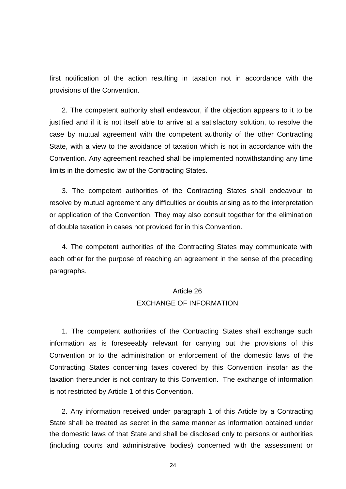first notification of the action resulting in taxation not in accordance with the provisions of the Convention.

2. The competent authority shall endeavour, if the objection appears to it to be justified and if it is not itself able to arrive at a satisfactory solution, to resolve the case by mutual agreement with the competent authority of the other Contracting State, with a view to the avoidance of taxation which is not in accordance with the Convention. Any agreement reached shall be implemented notwithstanding any time limits in the domestic law of the Contracting States.

3. The competent authorities of the Contracting States shall endeavour to resolve by mutual agreement any difficulties or doubts arising as to the interpretation or application of the Convention. They may also consult together for the elimination of double taxation in cases not provided for in this Convention.

4. The competent authorities of the Contracting States may communicate with each other for the purpose of reaching an agreement in the sense of the preceding paragraphs.

#### Article 26

# EXCHANGE OF INFORMATION

1. The competent authorities of the Contracting States shall exchange such information as is foreseeably relevant for carrying out the provisions of this Convention or to the administration or enforcement of the domestic laws of the Contracting States concerning taxes covered by this Convention insofar as the taxation thereunder is not contrary to this Convention. The exchange of information is not restricted by Article 1 of this Convention.

2. Any information received under paragraph 1 of this Article by a Contracting State shall be treated as secret in the same manner as information obtained under the domestic laws of that State and shall be disclosed only to persons or authorities (including courts and administrative bodies) concerned with the assessment or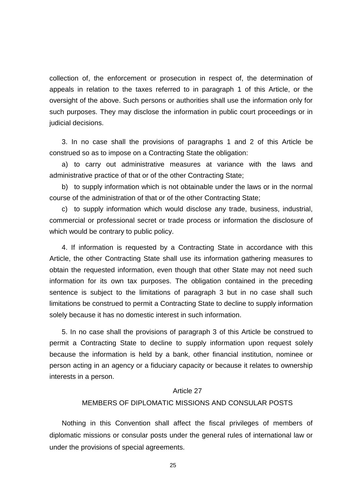collection of, the enforcement or prosecution in respect of, the determination of appeals in relation to the taxes referred to in paragraph 1 of this Article, or the oversight of the above. Such persons or authorities shall use the information only for such purposes. They may disclose the information in public court proceedings or in judicial decisions.

3. In no case shall the provisions of paragraphs 1 and 2 of this Article be construed so as to impose on a Contracting State the obligation:

a) to carry out administrative measures at variance with the laws and administrative practice of that or of the other Contracting State;

b) to supply information which is not obtainable under the laws or in the normal course of the administration of that or of the other Contracting State;

c) to supply information which would disclose any trade, business, industrial, commercial or professional secret or trade process or information the disclosure of which would be contrary to public policy.

4. If information is requested by a Contracting State in accordance with this Article, the other Contracting State shall use its information gathering measures to obtain the requested information, even though that other State may not need such information for its own tax purposes. The obligation contained in the preceding sentence is subject to the limitations of paragraph 3 but in no case shall such limitations be construed to permit a Contracting State to decline to supply information solely because it has no domestic interest in such information.

5. In no case shall the provisions of paragraph 3 of this Article be construed to permit a Contracting State to decline to supply information upon request solely because the information is held by a bank, other financial institution, nominee or person acting in an agency or a fiduciary capacity or because it relates to ownership interests in a person.

# Article 27

## MEMBERS OF DIPLOMATIC MISSIONS AND CONSULAR POSTS

Nothing in this Convention shall affect the fiscal privileges of members of diplomatic missions or consular posts under the general rules of international law or under the provisions of special agreements.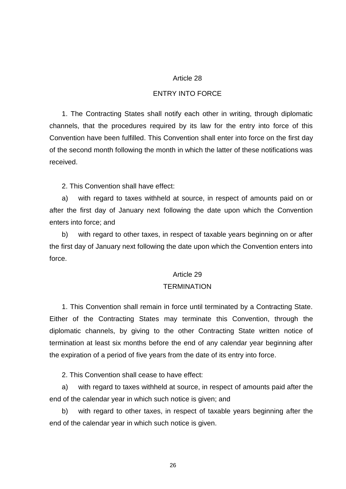#### Article 28

# ENTRY INTO FORCE

1. The Contracting States shall notify each other in writing, through diplomatic channels, that the procedures required by its law for the entry into force of this Convention have been fulfilled. This Convention shall enter into force on the first day of the second month following the month in which the latter of these notifications was received.

2. This Convention shall have effect:

a) with regard to taxes withheld at source, in respect of amounts paid on or after the first day of January next following the date upon which the Convention enters into force; and

b) with regard to other taxes, in respect of taxable years beginning on or after the first day of January next following the date upon which the Convention enters into force.

#### Article 29

# **TERMINATION**

1. This Convention shall remain in force until terminated by a Contracting State. Either of the Contracting States may terminate this Convention, through the diplomatic channels, by giving to the other Contracting State written notice of termination at least six months before the end of any calendar year beginning after the expiration of a period of five years from the date of its entry into force.

2. This Convention shall cease to have effect:

a) with regard to taxes withheld at source, in respect of amounts paid after the end of the calendar year in which such notice is given; and

b) with regard to other taxes, in respect of taxable years beginning after the end of the calendar year in which such notice is given.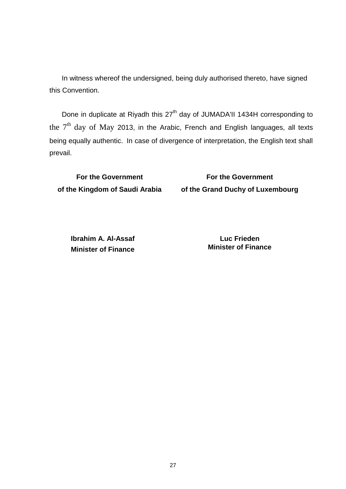In witness whereof the undersigned, being duly authorised thereto, have signed this Convention.

Done in duplicate at Riyadh this 27<sup>th</sup> day of JUMADA'll 1434H corresponding to the  $7<sup>th</sup>$  day of May 2013, in the Arabic, French and English languages, all texts being equally authentic. In case of divergence of interpretation, the English text shall prevail.

**For the Government of the Kingdom of Saudi Arabia**

**For the Government of the Grand Duchy of Luxembourg**

**Ibrahim A. Al-Assaf Minister of Finance**

**Luc Frieden Minister of Finance**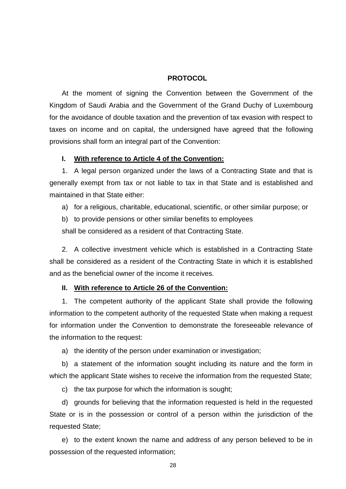# **PROTOCOL**

At the moment of signing the Convention between the Government of the Kingdom of Saudi Arabia and the Government of the Grand Duchy of Luxembourg for the avoidance of double taxation and the prevention of tax evasion with respect to taxes on income and on capital, the undersigned have agreed that the following provisions shall form an integral part of the Convention:

# **I. With reference to Article 4 of the Convention:**

1. A legal person organized under the laws of a Contracting State and that is generally exempt from tax or not liable to tax in that State and is established and maintained in that State either:

a) for a religious, charitable, educational, scientific, or other similar purpose; or

b) to provide pensions or other similar benefits to employees

shall be considered as a resident of that Contracting State.

2. A collective investment vehicle which is established in a Contracting State shall be considered as a resident of the Contracting State in which it is established and as the beneficial owner of the income it receives.

# **II. With reference to Article 26 of the Convention:**

1. The competent authority of the applicant State shall provide the following information to the competent authority of the requested State when making a request for information under the Convention to demonstrate the foreseeable relevance of the information to the request:

a) the identity of the person under examination or investigation;

b) a statement of the information sought including its nature and the form in which the applicant State wishes to receive the information from the requested State;

c) the tax purpose for which the information is sought;

d) grounds for believing that the information requested is held in the requested State or is in the possession or control of a person within the jurisdiction of the requested State;

e) to the extent known the name and address of any person believed to be in possession of the requested information;